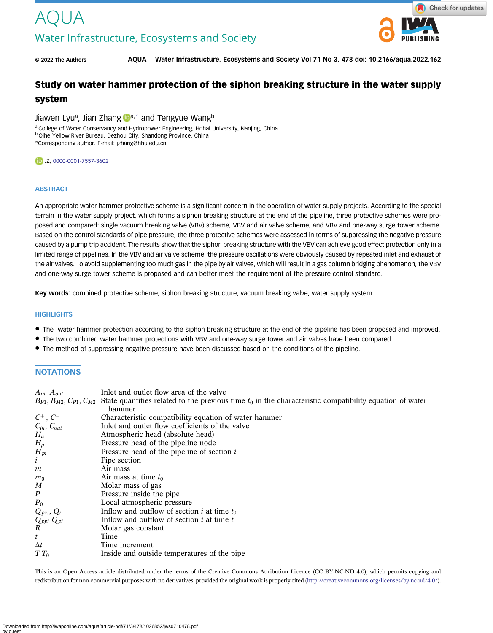

© 2022 The Authors AQUA — Water Infrastructure, Ecosystems and Society Vol 71 No 3, 478 doi: 10.2166/aqua.2022.162

# Study on water hammer protection of the siphon breaking structure in the water supply

# system

Jiawen Lyu<sup>a</sup>, Jian Zhang  $\mathbb{D}^{a,*}$  and Tengyue Wangb

a College of Water Conservancy and Hydropower Engineering, Hohai University, Nanjing, China

**b Qihe Yellow River Bureau, Dezhou City, Shandong Province, China** 

\*Corresponding author. E-mail: [jzhang@hhu.edu.cn](mailto:jzhang@hhu.edu.cn)

#### DJZ, [0000-0001-7557-3602](http://orcid.org/0000-0001-7557-3602)

## **ABSTRACT**

An appropriate water hammer protective scheme is a significant concern in the operation of water supply projects. According to the special terrain in the water supply project, which forms a siphon breaking structure at the end of the pipeline, three protective schemes were proposed and compared: single vacuum breaking valve (VBV) scheme, VBV and air valve scheme, and VBV and one-way surge tower scheme. Based on the control standards of pipe pressure, the three protective schemes were assessed in terms of suppressing the negative pressure caused by a pump trip accident. The results show that the siphon breaking structure with the VBV can achieve good effect protection only in a limited range of pipelines. In the VBV and air valve scheme, the pressure oscillations were obviously caused by repeated inlet and exhaust of the air valves. To avoid supplementing too much gas in the pipe by air valves, which will result in a gas column bridging phenomenon, the VBV and one-way surge tower scheme is proposed and can better meet the requirement of the pressure control standard.

Key words: combined protective scheme, siphon breaking structure, vacuum breaking valve, water supply system

#### **HIGHLIGHTS**

- The water hammer protection according to the siphon breaking structure at the end of the pipeline has been proposed and improved.
- The two combined water hammer protections with VBV and one-way surge tower and air valves have been compared.
- The method of suppressing negative pressure have been discussed based on the conditions of the pipeline.

# **NOTATIONS**

| $A_{in}$ $A_{out}$                                      | Inlet and outlet flow area of the valve                                                                   |
|---------------------------------------------------------|-----------------------------------------------------------------------------------------------------------|
| $B_{P1}, B_{M2}, C_{P1}, C_{M2}$                        | State quantities related to the previous time $t_0$ in the characteristic compatibility equation of water |
|                                                         | hammer                                                                                                    |
| $C^+$ , $C^-$                                           | Characteristic compatibility equation of water hammer                                                     |
| $C_{in}$ , $C_{out}$                                    | Inlet and outlet flow coefficients of the valve                                                           |
| $H_a$                                                   | Atmospheric head (absolute head)                                                                          |
| $H_p$                                                   | Pressure head of the pipeline node                                                                        |
| $\overline{H}_{pi}$<br><i>i</i>                         | Pressure head of the pipeline of section $i$                                                              |
|                                                         | Pipe section                                                                                              |
| m                                                       | Air mass                                                                                                  |
| $m_0$                                                   | Air mass at time $t_0$                                                                                    |
| M                                                       | Molar mass of gas                                                                                         |
| $\boldsymbol{P}$                                        | Pressure inside the pipe                                                                                  |
| $P_0$                                                   | Local atmospheric pressure                                                                                |
|                                                         | Inflow and outflow of section <i>i</i> at time $t_0$                                                      |
| $\displaystyle \frac{Q_{pxi},\, Q_i}{Q_{ppi}\, Q_{pi}}$ | Inflow and outflow of section $i$ at time $t$                                                             |
|                                                         | Molar gas constant                                                                                        |
| $\boldsymbol{t}$                                        | Time                                                                                                      |
| $\Delta t$                                              | Time increment                                                                                            |
| $T T_0$                                                 | Inside and outside temperatures of the pipe                                                               |
|                                                         |                                                                                                           |

This is an Open Access article distributed under the terms of the Creative Commons Attribution Licence (CC BY-NC-ND 4.0), which permits copying and redistribution for non-commercial purposes with no derivatives, provided the original work is properly cited (<http://creativecommons.org/licenses/by-nc-nd/4.0/>).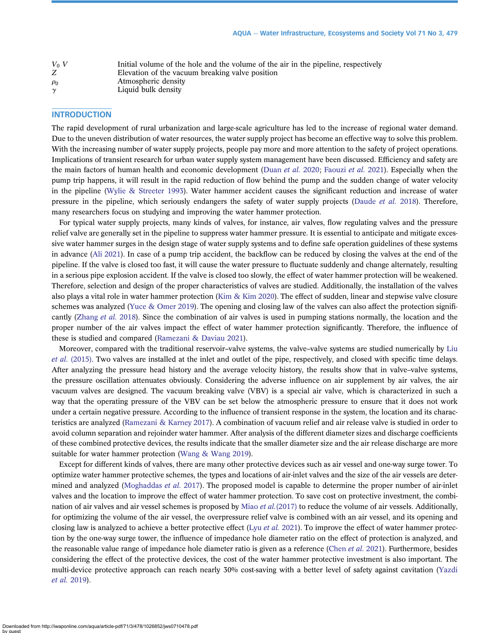| $V_0$ V  | Initial volume of the hole and the volume of the air in the pipeline, respectively |
|----------|------------------------------------------------------------------------------------|
|          | Elevation of the vacuum breaking valve position                                    |
| $\rho_0$ | Atmospheric density                                                                |
| $\gamma$ | Liquid bulk density                                                                |

## **INTRODUCTION**

The rapid development of rural urbanization and large-scale agriculture has led to the increase of regional water demand. Due to the uneven distribution of water resources, the water supply project has become an effective way to solve this problem. With the increasing number of water supply projects, people pay more and more attention to the safety of project operations. Implications of transient research for urban water supply system management have been discussed. Efficiency and safety are the main factors of human health and economic development ([Duan](#page-10-0) et al. 2020; [Faouzi](#page-10-0) et al. 2021). Especially when the pump trip happens, it will result in the rapid reduction of flow behind the pump and the sudden change of water velocity in the pipeline ([Wylie & Streeter 1993\)](#page-11-0). Water hammer accident causes the significant reduction and increase of water pressure in the pipeline, which seriously endangers the safety of water supply projects [\(Daude](#page-10-0) et al. 2018). Therefore, many researchers focus on studying and improving the water hammer protection.

For typical water supply projects, many kinds of valves, for instance, air valves, flow regulating valves and the pressure relief valve are generally set in the pipeline to suppress water hammer pressure. It is essential to anticipate and mitigate excessive water hammer surges in the design stage of water supply systems and to define safe operation guidelines of these systems in advance [\(Ali 2021](#page-10-0)). In case of a pump trip accident, the backflow can be reduced by closing the valves at the end of the pipeline. If the valve is closed too fast, it will cause the water pressure to fluctuate suddenly and change alternately, resulting in a serious pipe explosion accident. If the valve is closed too slowly, the effect of water hammer protection will be weakened. Therefore, selection and design of the proper characteristics of valves are studied. Additionally, the installation of the valves also plays a vital role in water hammer protection ([Kim & Kim 2020](#page-10-0)). The effect of sudden, linear and stepwise valve closure schemes was analyzed [\(Yuce & Omer 2019](#page-11-0)). The opening and closing law of the valves can also affect the protection signifi-cantly ([Zhang](#page-11-0) et al. 2018). Since the combination of air valves is used in pumping stations normally, the location and the proper number of the air valves impact the effect of water hammer protection significantly. Therefore, the influence of these is studied and compared [\(Ramezani & Daviau 2021\)](#page-11-0).

Moreover, compared with the traditional reservoir–valve systems, the valve–valve systems are studied numerically by [Liu](#page-10-0) et al. [\(2015\)](#page-10-0). Two valves are installed at the inlet and outlet of the pipe, respectively, and closed with specific time delays. After analyzing the pressure head history and the average velocity history, the results show that in valve–valve systems, the pressure oscillation attenuates obviously. Considering the adverse influence on air supplement by air valves, the air vacuum valves are designed. The vacuum breaking valve (VBV) is a special air valve, which is characterized in such a way that the operating pressure of the VBV can be set below the atmospheric pressure to ensure that it does not work under a certain negative pressure. According to the influence of transient response in the system, the location and its characteristics are analyzed [\(Ramezani & Karney 2017](#page-11-0)). A combination of vacuum relief and air release valve is studied in order to avoid column separation and rejoinder water hammer. After analysis of the different diameter sizes and discharge coefficients of these combined protective devices, the results indicate that the smaller diameter size and the air release discharge are more suitable for water hammer protection ([Wang & Wang 2019\)](#page-11-0).

Except for different kinds of valves, there are many other protective devices such as air vessel and one-way surge tower. To optimize water hammer protective schemes, the types and locations of air-inlet valves and the size of the air vessels are deter-mined and analyzed [\(Moghaddas](#page-10-0) *et al.* 2017). The proposed model is capable to determine the proper number of air-inlet valves and the location to improve the effect of water hammer protection. To save cost on protective investment, the combination of air valves and air vessel schemes is proposed by Miao *et al.*[\(2017\)](#page-10-0) to reduce the volume of air vessels. Additionally, for optimizing the volume of the air vessel, the overpressure relief valve is combined with an air vessel, and its opening and closing law is analyzed to achieve a better protective effect (Lyu [et al.](#page-10-0) 2021). To improve the effect of water hammer protection by the one-way surge tower, the influence of impedance hole diameter ratio on the effect of protection is analyzed, and the reasonable value range of impedance hole diameter ratio is given as a reference [\(Chen](#page-10-0) et al. 2021). Furthermore, besides considering the effect of the protective devices, the cost of the water hammer protective investment is also important. The multi-device protective approach can reach nearly 30% cost-saving with a better level of safety against cavitation ([Yazdi](#page-11-0) [et al.](#page-11-0) 2019).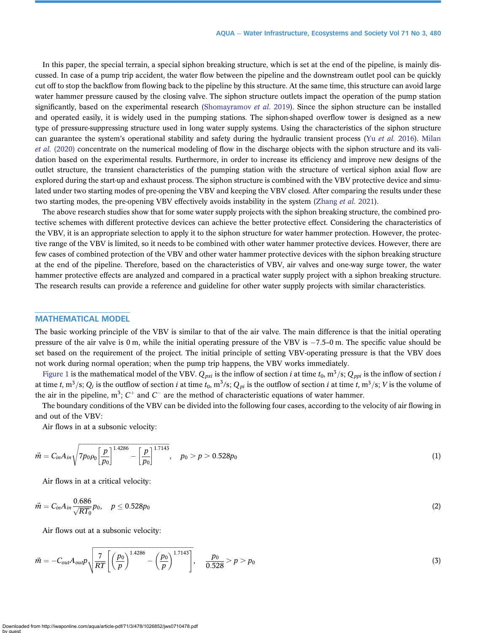In this paper, the special terrain, a special siphon breaking structure, which is set at the end of the pipeline, is mainly discussed. In case of a pump trip accident, the water flow between the pipeline and the downstream outlet pool can be quickly cut off to stop the backflow from flowing back to the pipeline by this structure. At the same time, this structure can avoid large water hammer pressure caused by the closing valve. The siphon structure outlets impact the operation of the pump station significantly, based on the experimental research [\(Shomayramov](#page-11-0) et al. 2019). Since the siphon structure can be installed and operated easily, it is widely used in the pumping stations. The siphon-shaped overflow tower is designed as a new type of pressure-suppressing structure used in long water supply systems. Using the characteristics of the siphon structure can guarantee the system's operational stability and safety during the hydraulic transient process (Yu *[et al.](#page-11-0)* 2016). [Milan](#page-10-0) et al. [\(2020\)](#page-10-0) concentrate on the numerical modeling of flow in the discharge objects with the siphon structure and its validation based on the experimental results. Furthermore, in order to increase its efficiency and improve new designs of the outlet structure, the transient characteristics of the pumping station with the structure of vertical siphon axial flow are explored during the start-up and exhaust process. The siphon structure is combined with the VBV protective device and simulated under two starting modes of pre-opening the VBV and keeping the VBV closed. After comparing the results under these two starting modes, the pre-opening VBV effectively avoids instability in the system ([Zhang](#page-11-0) et al. 2021).

The above research studies show that for some water supply projects with the siphon breaking structure, the combined protective schemes with different protective devices can achieve the better protective effect. Considering the characteristics of the VBV, it is an appropriate selection to apply it to the siphon structure for water hammer protection. However, the protective range of the VBV is limited, so it needs to be combined with other water hammer protective devices. However, there are few cases of combined protection of the VBV and other water hammer protective devices with the siphon breaking structure at the end of the pipeline. Therefore, based on the characteristics of VBV, air valves and one-way surge tower, the water hammer protective effects are analyzed and compared in a practical water supply project with a siphon breaking structure. The research results can provide a reference and guideline for other water supply projects with similar characteristics.

#### MATHEMATICAL MODEL

The basic working principle of the VBV is similar to that of the air valve. The main difference is that the initial operating pressure of the air valve is  $0 \text{ m}$ , while the initial operating pressure of the VBV is  $-7.5$ -0 m. The specific value should be set based on the requirement of the project. The initial principle of setting VBV-operating pressure is that the VBV does not work during normal operation; when the pump trip happens, the VBV works immediately.

[Figure 1](#page-3-0) is the mathematical model of the VBV.  $Q_{pxi}$  is the inflow of section i at time  $t_0$ , m<sup>3</sup>/s;  $Q_{ppi}$  is the inflow of section i at time t, m<sup>3</sup>/s;  $Q_i$  is the outflow of section i at time  $t_0$ , m<sup>3</sup>/s;  $Q_{pi}$  is the outflow of section i at time t, m<sup>3</sup>/s; V is the volume of the air in the pipeline,  $m^3$ ;  $C^+$  and  $C^-$  are the method of characteristic equations of water hammer.

The boundary conditions of the VBV can be divided into the following four cases, according to the velocity of air flowing in and out of the VBV:

Air flows in at a subsonic velocity:

$$
\vec{m} = C_{in} A_{in} \sqrt{7p_0 \rho_0 \left[\frac{p}{p_0}\right]^{1.4286} - \left[\frac{p}{p_0}\right]^{1.7143}}, \quad p_0 > p > 0.528p_0 \tag{1}
$$

Air flows in at a critical velocity:

$$
\vec{m} = C_{in} A_{in} \frac{0.686}{\sqrt{RT_0}} p_0, \quad p \le 0.528 p_0
$$
 (2)

Air flows out at a subsonic velocity:

$$
\vec{m} = -C_{out}A_{out}p \sqrt{\frac{7}{RT} \left[ \left( \frac{p_0}{p} \right)^{1.4286} - \left( \frac{p_0}{p} \right)^{1.7143} \right]}, \quad \frac{p_0}{0.528} > p > p_0 \tag{3}
$$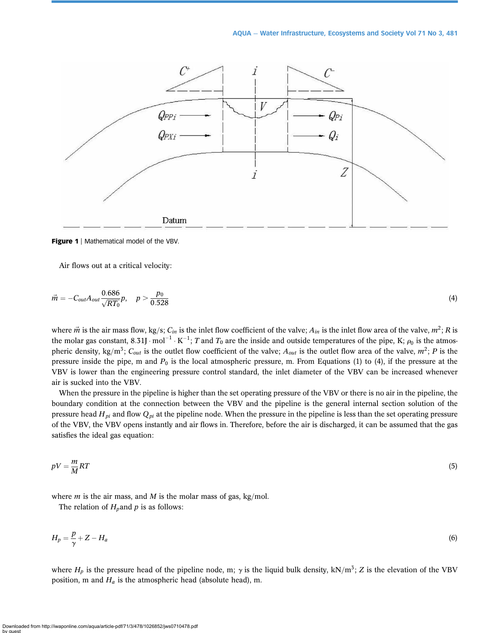<span id="page-3-0"></span>

Figure 1 | Mathematical model of the VBV.

Air flows out at a critical velocity:

$$
\vec{m} = -C_{out}A_{out}\frac{0.686}{\sqrt{RT_0}}p, \quad p > \frac{p_0}{0.528}
$$
(4)

where  $\vec{m}$  is the air mass flow, kg/s; C<sub>in</sub> is the inlet flow coefficient of the valve;  $A_{in}$  is the inlet flow area of the valve,  $m^2$ ; R is the molar gas constant, 8.31J  $\cdot$  mol<sup>-1</sup>  $\cdot$  K<sup>-1</sup>; T and T<sub>0</sub> are the inside and outside temperatures of the pipe, K;  $\rho_0$  is the atmospheric density, kg/m<sup>3</sup>; C<sub>out</sub> is the outlet flow coefficient of the valve; A<sub>out</sub> is the outlet flow area of the valve, m<sup>2</sup>; P is the pressure inside the pipe, m and  $P_0$  is the local atmospheric pressure, m. From Equations (1) to (4), if the pressure at the VBV is lower than the engineering pressure control standard, the inlet diameter of the VBV can be increased whenever air is sucked into the VBV.

When the pressure in the pipeline is higher than the set operating pressure of the VBV or there is no air in the pipeline, the boundary condition at the connection between the VBV and the pipeline is the general internal section solution of the pressure head  $H_{pi}$  and flow  $Q_{pi}$  at the pipeline node. When the pressure in the pipeline is less than the set operating pressure of the VBV, the VBV opens instantly and air flows in. Therefore, before the air is discharged, it can be assumed that the gas satisfies the ideal gas equation:

$$
pV = \frac{m}{M}RT\tag{5}
$$

where *m* is the air mass, and *M* is the molar mass of gas, kg/mol.

The relation of  $H_p$  and p is as follows:

$$
H_p = \frac{p}{\gamma} + Z - H_a \tag{6}
$$

where  $H_p$  is the pressure head of the pipeline node, m;  $\gamma$  is the liquid bulk density, kN/m<sup>3</sup>; Z is the elevation of the VBV position, m and  $H_a$  is the atmospheric head (absolute head), m.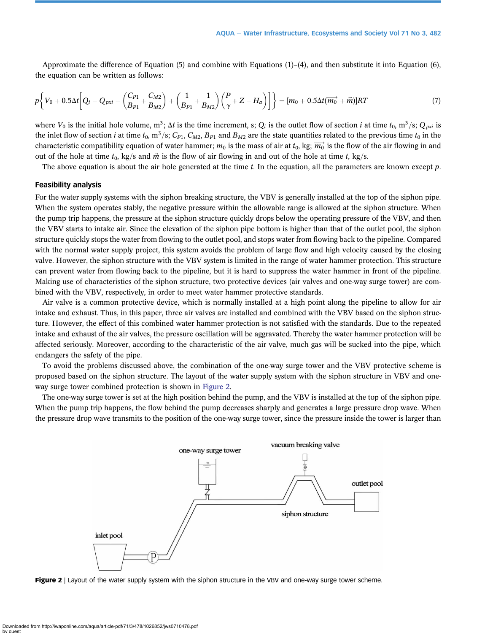Approximate the difference of Equation (5) and combine with Equations (1)–(4), and then substitute it into Equation (6), the equation can be written as follows:

$$
p\left\{V_0 + 0.5\Delta t \left[Q_i - Q_{pxi} - \left(\frac{C_{P1}}{B_{P1}} + \frac{C_{M2}}{B_{M2}}\right) + \left(\frac{1}{B_{P1}} + \frac{1}{B_{M2}}\right)\left(\frac{P}{\gamma} + Z - H_a\right)\right]\right\} = [m_0 + 0.5\Delta t(\overrightarrow{m_0} + \overrightarrow{m})]RT
$$
\n(7)

where  $V_0$  is the initial hole volume, m<sup>3</sup>;  $\Delta t$  is the time increment, s;  $Q_i$  is the outlet flow of section *i* at time  $t_0$ , m<sup>3</sup>/s;  $Q_{pxi}$  is the inlet flow of section *i* at time  $t_0$ , m<sup>3</sup>/s; C<sub>P1</sub>, C<sub>M2</sub>, B<sub>P1</sub> and B<sub>M2</sub> are the state quantities related to the previous time  $t_0$  in the characteristic compatibility equation of water hammer;  $m_0$  is the mass of air at  $t_0$ , kg;  $\overrightarrow{m_0}$  is the flow of the air flowing in and out of the hole at time  $t_0$ , kg/s and  $\vec{m}$  is the flow of air flowing in and out of the hole at time t, kg/s.

The above equation is about the air hole generated at the time t. In the equation, all the parameters are known except  $p$ .

#### Feasibility analysis

For the water supply systems with the siphon breaking structure, the VBV is generally installed at the top of the siphon pipe. When the system operates stably, the negative pressure within the allowable range is allowed at the siphon structure. When the pump trip happens, the pressure at the siphon structure quickly drops below the operating pressure of the VBV, and then the VBV starts to intake air. Since the elevation of the siphon pipe bottom is higher than that of the outlet pool, the siphon structure quickly stops the water from flowing to the outlet pool, and stops water from flowing back to the pipeline. Compared with the normal water supply project, this system avoids the problem of large flow and high velocity caused by the closing valve. However, the siphon structure with the VBV system is limited in the range of water hammer protection. This structure can prevent water from flowing back to the pipeline, but it is hard to suppress the water hammer in front of the pipeline. Making use of characteristics of the siphon structure, two protective devices (air valves and one-way surge tower) are combined with the VBV, respectively, in order to meet water hammer protective standards.

Air valve is a common protective device, which is normally installed at a high point along the pipeline to allow for air intake and exhaust. Thus, in this paper, three air valves are installed and combined with the VBV based on the siphon structure. However, the effect of this combined water hammer protection is not satisfied with the standards. Due to the repeated intake and exhaust of the air valves, the pressure oscillation will be aggravated. Thereby the water hammer protection will be affected seriously. Moreover, according to the characteristic of the air valve, much gas will be sucked into the pipe, which endangers the safety of the pipe.

To avoid the problems discussed above, the combination of the one-way surge tower and the VBV protective scheme is proposed based on the siphon structure. The layout of the water supply system with the siphon structure in VBV and oneway surge tower combined protection is shown in Figure 2.

The one-way surge tower is set at the high position behind the pump, and the VBV is installed at the top of the siphon pipe. When the pump trip happens, the flow behind the pump decreases sharply and generates a large pressure drop wave. When the pressure drop wave transmits to the position of the one-way surge tower, since the pressure inside the tower is larger than



Figure 2 | Layout of the water supply system with the siphon structure in the VBV and one-way surge tower scheme.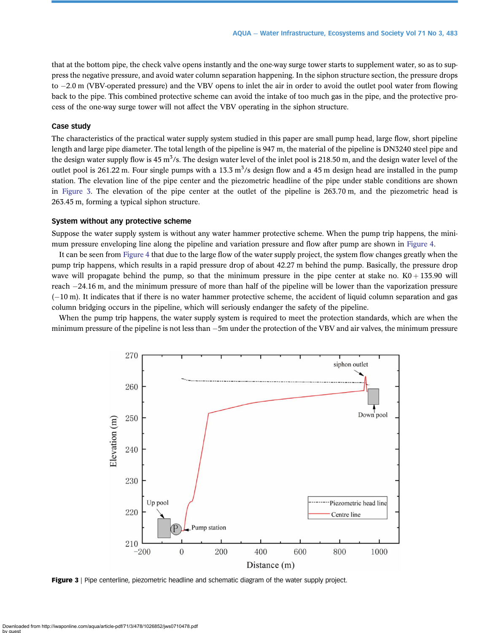that at the bottom pipe, the check valve opens instantly and the one-way surge tower starts to supplement water, so as to suppress the negative pressure, and avoid water column separation happening. In the siphon structure section, the pressure drops to  $-2.0$  m (VBV-operated pressure) and the VBV opens to inlet the air in order to avoid the outlet pool water from flowing back to the pipe. This combined protective scheme can avoid the intake of too much gas in the pipe, and the protective process of the one-way surge tower will not affect the VBV operating in the siphon structure.

## Case study

The characteristics of the practical water supply system studied in this paper are small pump head, large flow, short pipeline length and large pipe diameter. The total length of the pipeline is 947 m, the material of the pipeline is DN3240 steel pipe and the design water supply flow is 45 m<sup>3</sup>/s. The design water level of the inlet pool is 218.50 m, and the design water level of the outlet pool is 261.22 m. Four single pumps with a 13.3  $m^3/s$  design flow and a 45 m design head are installed in the pump station. The elevation line of the pipe center and the piezometric headline of the pipe under stable conditions are shown in Figure 3. The elevation of the pipe center at the outlet of the pipeline is 263.70 m, and the piezometric head is 263.45 m, forming a typical siphon structure.

### System without any protective scheme

Suppose the water supply system is without any water hammer protective scheme. When the pump trip happens, the minimum pressure enveloping line along the pipeline and variation pressure and flow after pump are shown in [Figure 4.](#page-6-0)

It can be seen from [Figure 4](#page-6-0) that due to the large flow of the water supply project, the system flow changes greatly when the pump trip happens, which results in a rapid pressure drop of about 42.27 m behind the pump. Basically, the pressure drop wave will propagate behind the pump, so that the minimum pressure in the pipe center at stake no.  $K0 + 135.90$  will reach -24.16 m, and the minimum pressure of more than half of the pipeline will be lower than the vaporization pressure (-10 m). It indicates that if there is no water hammer protective scheme, the accident of liquid column separation and gas column bridging occurs in the pipeline, which will seriously endanger the safety of the pipeline.

When the pump trip happens, the water supply system is required to meet the protection standards, which are when the  $m$ inimum pressure of the pipeline is not less than  $-5$ m under the protection of the VBV and air valves, the minimum pressure



Figure 3 | Pipe centerline, piezometric headline and schematic diagram of the water supply project.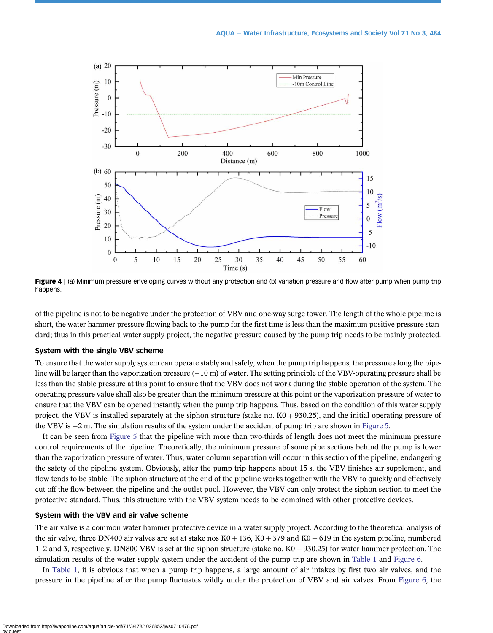<span id="page-6-0"></span>

Figure 4 | (a) Minimum pressure enveloping curves without any protection and (b) variation pressure and flow after pump when pump trip happens.

of the pipeline is not to be negative under the protection of VBV and one-way surge tower. The length of the whole pipeline is short, the water hammer pressure flowing back to the pump for the first time is less than the maximum positive pressure standard; thus in this practical water supply project, the negative pressure caused by the pump trip needs to be mainly protected.

## System with the single VBV scheme

To ensure that the water supply system can operate stably and safely, when the pump trip happens, the pressure along the pipeline will be larger than the vaporization pressure  $(-10 \text{ m})$  of water. The setting principle of the VBV-operating pressure shall be less than the stable pressure at this point to ensure that the VBV does not work during the stable operation of the system. The operating pressure value shall also be greater than the minimum pressure at this point or the vaporization pressure of water to ensure that the VBV can be opened instantly when the pump trip happens. Thus, based on the condition of this water supply project, the VBV is installed separately at the siphon structure (stake no.  $K0 + 930.25$ ), and the initial operating pressure of the VBV is -2 m. The simulation results of the system under the accident of pump trip are shown in [Figure 5.](#page-7-0)

It can be seen from [Figure 5](#page-7-0) that the pipeline with more than two-thirds of length does not meet the minimum pressure control requirements of the pipeline. Theoretically, the minimum pressure of some pipe sections behind the pump is lower than the vaporization pressure of water. Thus, water column separation will occur in this section of the pipeline, endangering the safety of the pipeline system. Obviously, after the pump trip happens about 15 s, the VBV finishes air supplement, and flow tends to be stable. The siphon structure at the end of the pipeline works together with the VBV to quickly and effectively cut off the flow between the pipeline and the outlet pool. However, the VBV can only protect the siphon section to meet the protective standard. Thus, this structure with the VBV system needs to be combined with other protective devices.

## System with the VBV and air valve scheme

The air valve is a common water hammer protective device in a water supply project. According to the theoretical analysis of the air valve, three DN400 air valves are set at stake nos  $K0 + 136$ ,  $K0 + 379$  and  $K0 + 619$  in the system pipeline, numbered 1, 2 and 3, respectively. DN800 VBV is set at the siphon structure (stake no.  $K0 + 930.25$ ) for water hammer protection. The simulation results of the water supply system under the accident of the pump trip are shown in [Table 1](#page-7-0) and [Figure 6.](#page-7-0)

In [Table 1,](#page-7-0) it is obvious that when a pump trip happens, a large amount of air intakes by first two air valves, and the pressure in the pipeline after the pump fluctuates wildly under the protection of VBV and air valves. From [Figure 6,](#page-7-0) the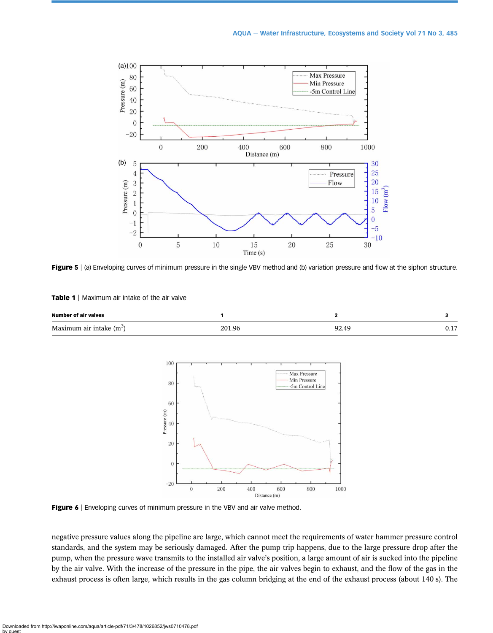<span id="page-7-0"></span>

Figure 5 | (a) Enveloping curves of minimum pressure in the single VBV method and (b) variation pressure and flow at the siphon structure.

| <b>Table 1</b>   Maximum air intake of the air valve |  |  |  |  |  |
|------------------------------------------------------|--|--|--|--|--|
|------------------------------------------------------|--|--|--|--|--|

| <b>Number of air valves</b> |        |    |     |
|-----------------------------|--------|----|-----|
| Maximum air intake $(m^3)$  | 201.96 | ገ′ | ◡.⊥ |



Figure 6 | Enveloping curves of minimum pressure in the VBV and air valve method.

negative pressure values along the pipeline are large, which cannot meet the requirements of water hammer pressure control standards, and the system may be seriously damaged. After the pump trip happens, due to the large pressure drop after the pump, when the pressure wave transmits to the installed air valve's position, a large amount of air is sucked into the pipeline by the air valve. With the increase of the pressure in the pipe, the air valves begin to exhaust, and the flow of the gas in the exhaust process is often large, which results in the gas column bridging at the end of the exhaust process (about 140 s). The

Downloaded from http://iwaponline.com/aqua/article-pdf/71/3/478/1026852/jws0710478.pdf by guest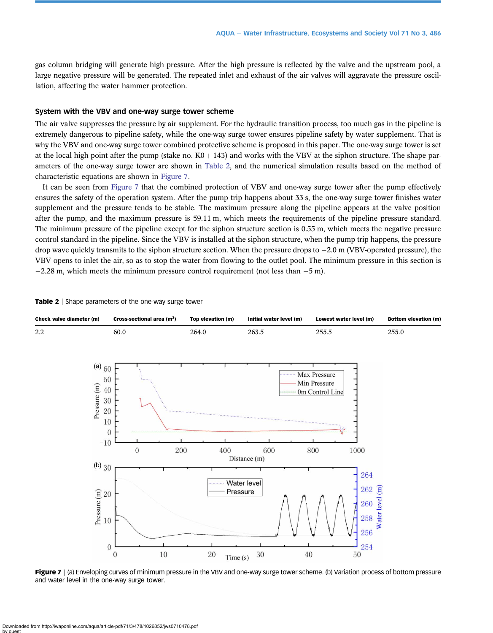gas column bridging will generate high pressure. After the high pressure is reflected by the valve and the upstream pool, a large negative pressure will be generated. The repeated inlet and exhaust of the air valves will aggravate the pressure oscillation, affecting the water hammer protection.

#### System with the VBV and one-way surge tower scheme

The air valve suppresses the pressure by air supplement. For the hydraulic transition process, too much gas in the pipeline is extremely dangerous to pipeline safety, while the one-way surge tower ensures pipeline safety by water supplement. That is why the VBV and one-way surge tower combined protective scheme is proposed in this paper. The one-way surge tower is set at the local high point after the pump (stake no.  $K0 + 143$ ) and works with the VBV at the siphon structure. The shape parameters of the one-way surge tower are shown in Table 2, and the numerical simulation results based on the method of characteristic equations are shown in Figure 7.

It can be seen from Figure 7 that the combined protection of VBV and one-way surge tower after the pump effectively ensures the safety of the operation system. After the pump trip happens about 33 s, the one-way surge tower finishes water supplement and the pressure tends to be stable. The maximum pressure along the pipeline appears at the valve position after the pump, and the maximum pressure is 59.11 m, which meets the requirements of the pipeline pressure standard. The minimum pressure of the pipeline except for the siphon structure section is 0.55 m, which meets the negative pressure control standard in the pipeline. Since the VBV is installed at the siphon structure, when the pump trip happens, the pressure drop wave quickly transmits to the siphon structure section. When the pressure drops to  $-2.0$  m (VBV-operated pressure), the VBV opens to inlet the air, so as to stop the water from flowing to the outlet pool. The minimum pressure in this section is  $-2.28$  m, which meets the minimum pressure control requirement (not less than  $-5$  m).

| Check valve diameter (m)                                                                                                      | Cross-sectional area (m <sup>2</sup> ) | Top elevation (m)             | Initial water level (m) | Lowest water level (m)                                                | <b>Bottom elevation (m)</b> |
|-------------------------------------------------------------------------------------------------------------------------------|----------------------------------------|-------------------------------|-------------------------|-----------------------------------------------------------------------|-----------------------------|
| 2.2                                                                                                                           | 60.0                                   | 264.0                         | 263.5                   | 255.5                                                                 | 255.0                       |
| (a) $60$<br>50<br>Pressure (m)<br>40<br>30<br>20<br>10<br>$\mathbf{0}$<br>$-10$                                               |                                        |                               |                         | Max Pressure<br>Min Pressure<br>0m Control Line                       |                             |
|                                                                                                                               | 200<br>$\mathbf{0}$                    | 400                           | 600<br>Distance (m)     | 800<br>1000                                                           |                             |
| (b) $30$<br>$\begin{tabular}{l} \hline 20 \\ \hline 20 \\ \hline 21 \\ \hline 10 \\ \hline \end{tabular}$<br>$\boldsymbol{0}$ | 10<br>$\boldsymbol{0}$                 | Pressure<br>$20\,$<br>Time(s) | Water level<br>$30\,$   | 264<br>Water level (m)<br>262<br>260<br>258<br>256<br>254<br>40<br>50 |                             |

Table 2 | Shape parameters of the one-way surge tower

Figure 7 | (a) Enveloping curves of minimum pressure in the VBV and one-way surge tower scheme. (b) Variation process of bottom pressure and water level in the one-way surge tower.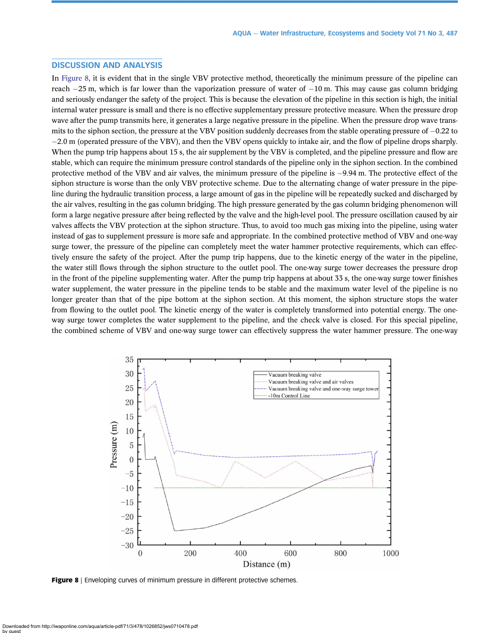# DISCUSSION AND ANALYSIS

In Figure 8, it is evident that in the single VBV protective method, theoretically the minimum pressure of the pipeline can reach  $-25$  m, which is far lower than the vaporization pressure of water of  $-10$  m. This may cause gas column bridging and seriously endanger the safety of the project. This is because the elevation of the pipeline in this section is high, the initial internal water pressure is small and there is no effective supplementary pressure protective measure. When the pressure drop wave after the pump transmits here, it generates a large negative pressure in the pipeline. When the pressure drop wave transmits to the siphon section, the pressure at the VBV position suddenly decreases from the stable operating pressure of  $-0.22$  to -2.0 m (operated pressure of the VBV), and then the VBV opens quickly to intake air, and the flow of pipeline drops sharply. When the pump trip happens about 15 s, the air supplement by the VBV is completed, and the pipeline pressure and flow are stable, which can require the minimum pressure control standards of the pipeline only in the siphon section. In the combined protective method of the VBV and air valves, the minimum pressure of the pipeline is -9.94 m. The protective effect of the siphon structure is worse than the only VBV protective scheme. Due to the alternating change of water pressure in the pipeline during the hydraulic transition process, a large amount of gas in the pipeline will be repeatedly sucked and discharged by the air valves, resulting in the gas column bridging. The high pressure generated by the gas column bridging phenomenon will form a large negative pressure after being reflected by the valve and the high-level pool. The pressure oscillation caused by air valves affects the VBV protection at the siphon structure. Thus, to avoid too much gas mixing into the pipeline, using water instead of gas to supplement pressure is more safe and appropriate. In the combined protective method of VBV and one-way surge tower, the pressure of the pipeline can completely meet the water hammer protective requirements, which can effectively ensure the safety of the project. After the pump trip happens, due to the kinetic energy of the water in the pipeline, the water still flows through the siphon structure to the outlet pool. The one-way surge tower decreases the pressure drop in the front of the pipeline supplementing water. After the pump trip happens at about 33 s, the one-way surge tower finishes water supplement, the water pressure in the pipeline tends to be stable and the maximum water level of the pipeline is no longer greater than that of the pipe bottom at the siphon section. At this moment, the siphon structure stops the water from flowing to the outlet pool. The kinetic energy of the water is completely transformed into potential energy. The oneway surge tower completes the water supplement to the pipeline, and the check valve is closed. For this special pipeline, the combined scheme of VBV and one-way surge tower can effectively suppress the water hammer pressure. The one-way



Figure 8 | Enveloping curves of minimum pressure in different protective schemes.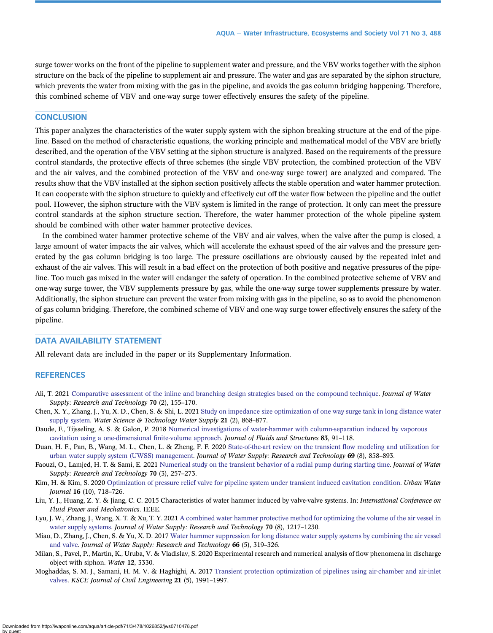<span id="page-10-0"></span>surge tower works on the front of the pipeline to supplement water and pressure, and the VBV works together with the siphon structure on the back of the pipeline to supplement air and pressure. The water and gas are separated by the siphon structure, which prevents the water from mixing with the gas in the pipeline, and avoids the gas column bridging happening. Therefore, this combined scheme of VBV and one-way surge tower effectively ensures the safety of the pipeline.

## **CONCLUSION**

This paper analyzes the characteristics of the water supply system with the siphon breaking structure at the end of the pipeline. Based on the method of characteristic equations, the working principle and mathematical model of the VBV are briefly described, and the operation of the VBV setting at the siphon structure is analyzed. Based on the requirements of the pressure control standards, the protective effects of three schemes (the single VBV protection, the combined protection of the VBV and the air valves, and the combined protection of the VBV and one-way surge tower) are analyzed and compared. The results show that the VBV installed at the siphon section positively affects the stable operation and water hammer protection. It can cooperate with the siphon structure to quickly and effectively cut off the water flow between the pipeline and the outlet pool. However, the siphon structure with the VBV system is limited in the range of protection. It only can meet the pressure control standards at the siphon structure section. Therefore, the water hammer protection of the whole pipeline system should be combined with other water hammer protective devices.

In the combined water hammer protective scheme of the VBV and air valves, when the valve after the pump is closed, a large amount of water impacts the air valves, which will accelerate the exhaust speed of the air valves and the pressure generated by the gas column bridging is too large. The pressure oscillations are obviously caused by the repeated inlet and exhaust of the air valves. This will result in a bad effect on the protection of both positive and negative pressures of the pipeline. Too much gas mixed in the water will endanger the safety of operation. In the combined protective scheme of VBV and one-way surge tower, the VBV supplements pressure by gas, while the one-way surge tower supplements pressure by water. Additionally, the siphon structure can prevent the water from mixing with gas in the pipeline, so as to avoid the phenomenon of gas column bridging. Therefore, the combined scheme of VBV and one-way surge tower effectively ensures the safety of the pipeline.

# DATA AVAILABILITY STATEMENT

All relevant data are included in the paper or its Supplementary Information.

#### REFERENCES

- Ali, T. 2021 [Comparative assessment of the inline and branching design strategies based on the compound technique](http://dx.doi.org/10.2166/aqua.2020.065). Journal of Water Supply: Research and Technology 70 (2), 155–170.
- Chen, X. Y., Zhang, J., Yu, X. D., Chen, S. & Shi, L. 2021 [Study on impedance size optimization of one way surge tank in long distance water](http://dx.doi.org/10.2166/ws.2020.370) [supply system](http://dx.doi.org/10.2166/ws.2020.370). Water Science & Technology Water Supply 21 (2), 868-877.
- Daude, F., Tijsseling, A. S. & Galon, P. 2018 [Numerical investigations of water-hammer with column-separation induced by vaporous](http://dx.doi.org/10.1016/j.jfluidstructs.2018.08.014) [cavitation using a one-dimensional](http://dx.doi.org/10.1016/j.jfluidstructs.2018.08.014) finite-volume approach. Journal of Fluids and Structures 83, 91-118.
- Duan, H. F., Pan, B., Wang, M. L., Chen, L. & Zheng, F. F. 2020 [State-of-the-art review on the transient](http://dx.doi.org/10.2166/aqua.2020.048) flow modeling and utilization for [urban water supply system \(UWSS\) management.](http://dx.doi.org/10.2166/aqua.2020.048) Journal of Water Supply: Research and Technology 69 (8), 858–893.
- Faouzi, O., Lamjed, H. T. & Sami, E. 2021 [Numerical study on the transient behavior of a radial pump during starting time](http://dx.doi.org/10.2166/aqua.2021.136). Journal of Water Supply: Research and Technology 70 (3), 257-273.
- Kim, H. & Kim, S. 2020 [Optimization of pressure relief valve for pipeline system under transient induced cavitation condition](http://dx.doi.org/10.1080/1573062X.2020.1726412). Urban Water Journal 16 (10), 718–726.
- Liu, Y. J., Huang, Z. Y. & Jiang, C. C. 2015 Characteristics of water hammer induced by valve-valve systems. In: *International Conference on* Fluid Power and Mechatronics. IEEE.
- Lyu, J. W., Zhang, J., Wang, X. T. & Xu, T. Y. 2021 [A combined water hammer protective method for optimizing the volume of the air vessel in](https://doi.org/10.2166/aqua.2021.059) [water supply systems](https://doi.org/10.2166/aqua.2021.059). Journal of Water Supply: Research and Technology 70 (8), 1217-1230.
- Miao, D., Zhang, J., Chen, S. & Yu, X. D. 2017 [Water hammer suppression for long distance water supply systems by combining the air vessel](http://dx.doi.org/10.2166/aqua.2017.131) [and valve](http://dx.doi.org/10.2166/aqua.2017.131). Journal of Water Supply: Research and Technology 66 (5), 319–326.
- Milan, S., Pavel, P., Martin, K., Uruba, V. & Vladislav, S. 2020 Experimental research and numerical analysis of flow phenomena in discharge object with siphon. Water 12, 3330.
- Moghaddas, S. M. J., Samani, H. M. V. & Haghighi, A. 2017 [Transient protection optimization of pipelines using air-chamber and air-inlet](http://dx.doi.org/10.1007/s12205-016-0836-4) [valves](http://dx.doi.org/10.1007/s12205-016-0836-4). KSCE Journal of Civil Engineering 21 (5), 1991–1997.